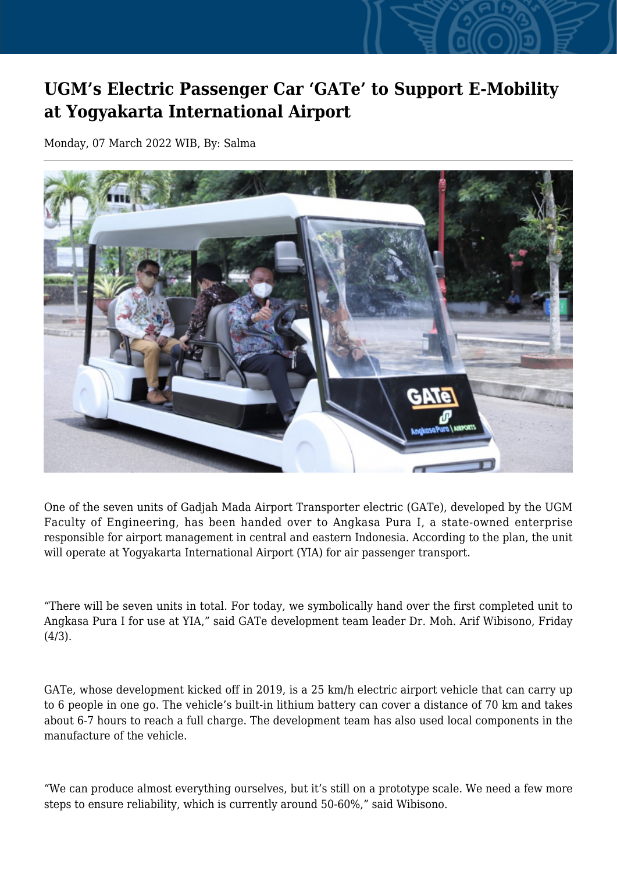## **UGM's Electric Passenger Car 'GATe' to Support E-Mobility at Yogyakarta International Airport**

Monday, 07 March 2022 WIB, By: Salma



One of the seven units of Gadjah Mada Airport Transporter electric (GATe), developed by the UGM Faculty of Engineering, has been handed over to Angkasa Pura I, a state-owned enterprise responsible for airport management in central and eastern Indonesia. According to the plan, the unit will operate at Yogyakarta International Airport (YIA) for air passenger transport.

"There will be seven units in total. For today, we symbolically hand over the first completed unit to Angkasa Pura I for use at YIA," said GATe development team leader Dr. Moh. Arif Wibisono, Friday  $(4/3).$ 

GATe, whose development kicked off in 2019, is a 25 km/h electric airport vehicle that can carry up to 6 people in one go. The vehicle's built-in lithium battery can cover a distance of 70 km and takes about 6-7 hours to reach a full charge. The development team has also used local components in the manufacture of the vehicle.

"We can produce almost everything ourselves, but it's still on a prototype scale. We need a few more steps to ensure reliability, which is currently around 50-60%," said Wibisono.